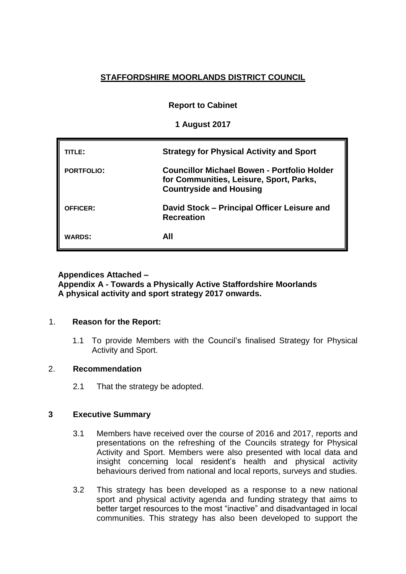# **STAFFORDSHIRE MOORLANDS DISTRICT COUNCIL**

**Report to Cabinet**

**1 August 2017**

| TITLE:            | <b>Strategy for Physical Activity and Sport</b>                                                                          |
|-------------------|--------------------------------------------------------------------------------------------------------------------------|
| <b>PORTFOLIO:</b> | Councillor Michael Bowen - Portfolio Holder<br>for Communities, Leisure, Sport, Parks,<br><b>Countryside and Housing</b> |
| <b>OFFICER:</b>   | David Stock - Principal Officer Leisure and<br><b>Recreation</b>                                                         |
| <b>WARDS:</b>     | AII                                                                                                                      |

# **Appendices Attached –**

**Appendix A - Towards a Physically Active Staffordshire Moorlands A physical activity and sport strategy 2017 onwards.**

### 1. **Reason for the Report:**

1.1 To provide Members with the Council's finalised Strategy for Physical Activity and Sport.

### 2. **Recommendation**

2.1 That the strategy be adopted.

## **3 Executive Summary**

- 3.1 Members have received over the course of 2016 and 2017, reports and presentations on the refreshing of the Councils strategy for Physical Activity and Sport. Members were also presented with local data and insight concerning local resident's health and physical activity behaviours derived from national and local reports, surveys and studies.
- 3.2 This strategy has been developed as a response to a new national sport and physical activity agenda and funding strategy that aims to better target resources to the most "inactive" and disadvantaged in local communities. This strategy has also been developed to support the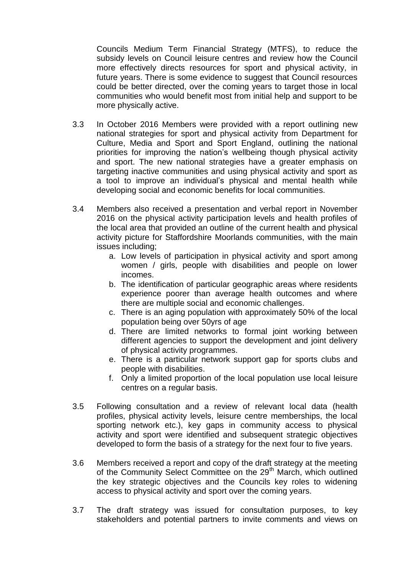Councils Medium Term Financial Strategy (MTFS), to reduce the subsidy levels on Council leisure centres and review how the Council more effectively directs resources for sport and physical activity, in future years. There is some evidence to suggest that Council resources could be better directed, over the coming years to target those in local communities who would benefit most from initial help and support to be more physically active.

- 3.3 In October 2016 Members were provided with a report outlining new national strategies for sport and physical activity from Department for Culture, Media and Sport and Sport England, outlining the national priorities for improving the nation's wellbeing though physical activity and sport. The new national strategies have a greater emphasis on targeting inactive communities and using physical activity and sport as a tool to improve an individual's physical and mental health while developing social and economic benefits for local communities.
- 3.4 Members also received a presentation and verbal report in November 2016 on the physical activity participation levels and health profiles of the local area that provided an outline of the current health and physical activity picture for Staffordshire Moorlands communities, with the main issues including;
	- a. Low levels of participation in physical activity and sport among women / girls, people with disabilities and people on lower incomes.
	- b. The identification of particular geographic areas where residents experience poorer than average health outcomes and where there are multiple social and economic challenges.
	- c. There is an aging population with approximately 50% of the local population being over 50yrs of age
	- d. There are limited networks to formal joint working between different agencies to support the development and joint delivery of physical activity programmes.
	- e. There is a particular network support gap for sports clubs and people with disabilities.
	- f. Only a limited proportion of the local population use local leisure centres on a regular basis.
- 3.5 Following consultation and a review of relevant local data (health profiles, physical activity levels, leisure centre memberships, the local sporting network etc.), key gaps in community access to physical activity and sport were identified and subsequent strategic objectives developed to form the basis of a strategy for the next four to five years.
- 3.6 Members received a report and copy of the draft strategy at the meeting of the Community Select Committee on the 29<sup>th</sup> March, which outlined the key strategic objectives and the Councils key roles to widening access to physical activity and sport over the coming years.
- 3.7 The draft strategy was issued for consultation purposes, to key stakeholders and potential partners to invite comments and views on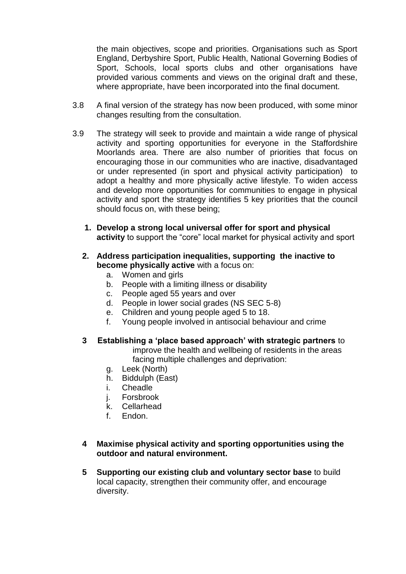the main objectives, scope and priorities. Organisations such as Sport England, Derbyshire Sport, Public Health, National Governing Bodies of Sport, Schools, local sports clubs and other organisations have provided various comments and views on the original draft and these, where appropriate, have been incorporated into the final document.

- 3.8 A final version of the strategy has now been produced, with some minor changes resulting from the consultation.
- 3.9 The strategy will seek to provide and maintain a wide range of physical activity and sporting opportunities for everyone in the Staffordshire Moorlands area. There are also number of priorities that focus on encouraging those in our communities who are inactive, disadvantaged or under represented (in sport and physical activity participation) to adopt a healthy and more physically active lifestyle. To widen access and develop more opportunities for communities to engage in physical activity and sport the strategy identifies 5 key priorities that the council should focus on, with these being;
	- **1. Develop a strong local universal offer for sport and physical activity** to support the "core" local market for physical activity and sport
	- **2. Address participation inequalities, supporting the inactive to become physically active** with a focus on:
		- a. Women and girls
		- b. People with a limiting illness or disability
		- c. People aged 55 years and over
		- d. People in lower social grades (NS SEC 5-8)
		- e. Children and young people aged 5 to 18.
		- f. Young people involved in antisocial behaviour and crime
	- **3 Establishing a 'place based approach' with strategic partners** to improve the health and wellbeing of residents in the areas facing multiple challenges and deprivation:
		- g. Leek (North)
		- h. Biddulph (East)
		- i. Cheadle
		- j. Forsbrook
		- k. Cellarhead
		- f. Endon.

### **4 Maximise physical activity and sporting opportunities using the outdoor and natural environment.**

**5 Supporting our existing club and voluntary sector base** to build local capacity, strengthen their community offer, and encourage diversity.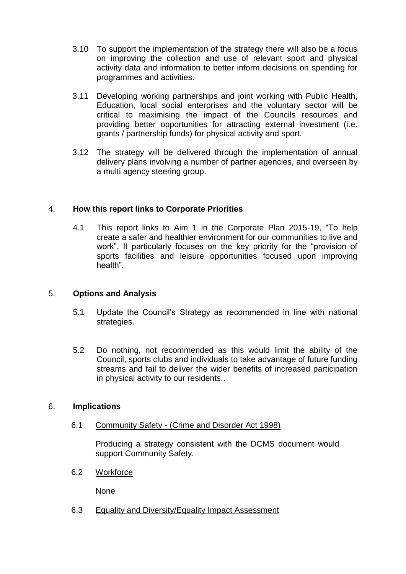- 3.10 To support the implementation of the strategy there will also be a focus on improving the collection and use of relevant sport and physical activity data and information to better inform decisions on spending for programmes and activities.
- 3.11 Developing working partnerships and joint working with Public Health, Education, local social enterprises and the voluntary sector will be critical to maximising the impact of the Councils resources and providing better opportunities for attracting external investment (i.e. grants / partnership funds) for physical activity and sport.
- 3.12 The strategy will be delivered through the implementation of annual delivery plans involving a number of partner agencies, and overseen by a multi agency steering group.

### 4. **How this report links to Corporate Priorities**

4.1 This report links to Aim 1 in the Corporate Plan 2015-19, "To help create a safer and healthier environment for our communities to live and work". It particularly focuses on the key priority for the "provision of sports facilities and leisure opportunities focused upon improving health".

### 5. **Options and Analysis**

- 5.1 Update the Council's Strategy as recommended in line with national strategies.
- 5.2 Do nothing, not recommended as this would limit the ability of the Council, sports clubs and individuals to take advantage of future funding streams and fail to deliver the wider benefits of increased participation in physical activity to our residents..

### 6. **Implications**

### 6.1 Community Safety - (Crime and Disorder Act 1998)

Producing a strategy consistent with the DCMS document would support Community Safety.

6.2 Workforce

None

6.3 Equality and Diversity/Equality Impact Assessment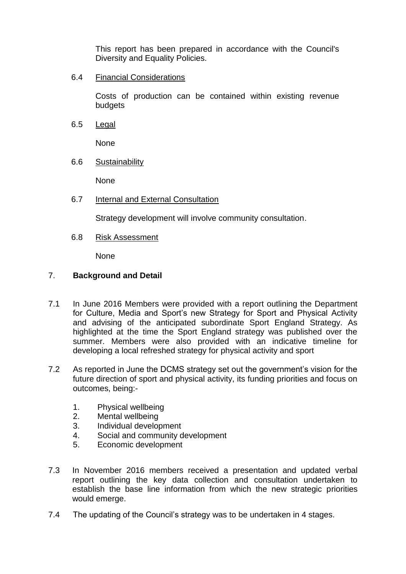This report has been prepared in accordance with the Council's Diversity and Equality Policies.

6.4 Financial Considerations

Costs of production can be contained within existing revenue budgets

6.5 Legal

None

6.6 Sustainability

None

6.7 Internal and External Consultation

Strategy development will involve community consultation.

6.8 Risk Assessment

None

#### 7. **Background and Detail**

- 7.1 In June 2016 Members were provided with a report outlining the Department for Culture, Media and Sport's new Strategy for Sport and Physical Activity and advising of the anticipated subordinate Sport England Strategy. As highlighted at the time the Sport England strategy was published over the summer. Members were also provided with an indicative timeline for developing a local refreshed strategy for physical activity and sport
- 7.2 As reported in June the DCMS strategy set out the government's vision for the future direction of sport and physical activity, its funding priorities and focus on outcomes, being:-
	- 1. Physical wellbeing
	- 2. Mental wellbeing
	- 3. Individual development
	- 4. Social and community development
	- 5. Economic development
- 7.3 In November 2016 members received a presentation and updated verbal report outlining the key data collection and consultation undertaken to establish the base line information from which the new strategic priorities would emerge.
- 7.4 The updating of the Council's strategy was to be undertaken in 4 stages.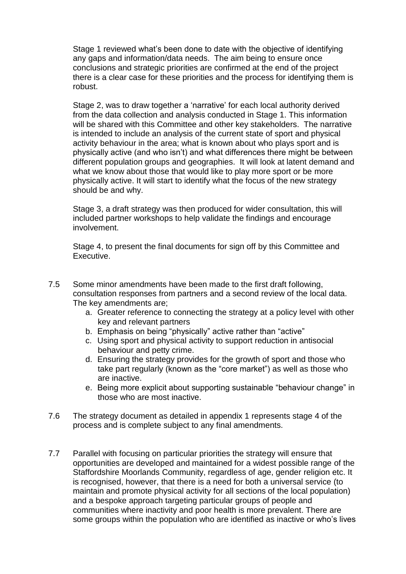Stage 1 reviewed what's been done to date with the objective of identifying any gaps and information/data needs. The aim being to ensure once conclusions and strategic priorities are confirmed at the end of the project there is a clear case for these priorities and the process for identifying them is robust.

Stage 2, was to draw together a 'narrative' for each local authority derived from the data collection and analysis conducted in Stage 1. This information will be shared with this Committee and other key stakeholders. The narrative is intended to include an analysis of the current state of sport and physical activity behaviour in the area; what is known about who plays sport and is physically active (and who isn't) and what differences there might be between different population groups and geographies. It will look at latent demand and what we know about those that would like to play more sport or be more physically active. It will start to identify what the focus of the new strategy should be and why.

Stage 3, a draft strategy was then produced for wider consultation, this will included partner workshops to help validate the findings and encourage involvement.

Stage 4, to present the final documents for sign off by this Committee and Executive.

- 7.5 Some minor amendments have been made to the first draft following, consultation responses from partners and a second review of the local data. The key amendments are;
	- a. Greater reference to connecting the strategy at a policy level with other key and relevant partners
	- b. Emphasis on being "physically" active rather than "active"
	- c. Using sport and physical activity to support reduction in antisocial behaviour and petty crime.
	- d. Ensuring the strategy provides for the growth of sport and those who take part regularly (known as the "core market") as well as those who are inactive.
	- e. Being more explicit about supporting sustainable "behaviour change" in those who are most inactive.
- 7.6 The strategy document as detailed in appendix 1 represents stage 4 of the process and is complete subject to any final amendments.
- 7.7 Parallel with focusing on particular priorities the strategy will ensure that opportunities are developed and maintained for a widest possible range of the Staffordshire Moorlands Community, regardless of age, gender religion etc. It is recognised, however, that there is a need for both a universal service (to maintain and promote physical activity for all sections of the local population) and a bespoke approach targeting particular groups of people and communities where inactivity and poor health is more prevalent. There are some groups within the population who are identified as inactive or who's lives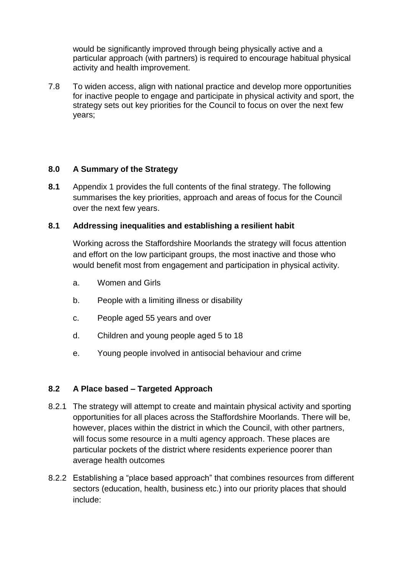would be significantly improved through being physically active and a particular approach (with partners) is required to encourage habitual physical activity and health improvement.

7.8 To widen access, align with national practice and develop more opportunities for inactive people to engage and participate in physical activity and sport, the strategy sets out key priorities for the Council to focus on over the next few years;

## **8.0 A Summary of the Strategy**

**8.1** Appendix 1 provides the full contents of the final strategy. The following summarises the key priorities, approach and areas of focus for the Council over the next few years.

### **8.1 Addressing inequalities and establishing a resilient habit**

Working across the Staffordshire Moorlands the strategy will focus attention and effort on the low participant groups, the most inactive and those who would benefit most from engagement and participation in physical activity.

- a. Women and Girls
- b. People with a limiting illness or disability
- c. People aged 55 years and over
- d. Children and young people aged 5 to 18
- e. Young people involved in antisocial behaviour and crime

## **8.2 A Place based – Targeted Approach**

- 8.2.1 The strategy will attempt to create and maintain physical activity and sporting opportunities for all places across the Staffordshire Moorlands. There will be, however, places within the district in which the Council, with other partners, will focus some resource in a multi agency approach. These places are particular pockets of the district where residents experience poorer than average health outcomes
- 8.2.2 Establishing a "place based approach" that combines resources from different sectors (education, health, business etc.) into our priority places that should include: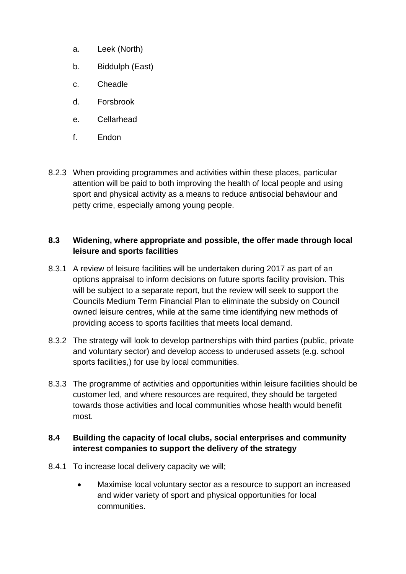- a. Leek (North)
- b. Biddulph (East)
- c. Cheadle
- d. Forsbrook
- e. Cellarhead
- f. Endon
- 8.2.3 When providing programmes and activities within these places, particular attention will be paid to both improving the health of local people and using sport and physical activity as a means to reduce antisocial behaviour and petty crime, especially among young people.

### **8.3 Widening, where appropriate and possible, the offer made through local leisure and sports facilities**

- 8.3.1 A review of leisure facilities will be undertaken during 2017 as part of an options appraisal to inform decisions on future sports facility provision. This will be subject to a separate report, but the review will seek to support the Councils Medium Term Financial Plan to eliminate the subsidy on Council owned leisure centres, while at the same time identifying new methods of providing access to sports facilities that meets local demand.
- 8.3.2 The strategy will look to develop partnerships with third parties (public, private and voluntary sector) and develop access to underused assets (e.g. school sports facilities,) for use by local communities.
- 8.3.3 The programme of activities and opportunities within leisure facilities should be customer led, and where resources are required, they should be targeted towards those activities and local communities whose health would benefit most.

## **8.4 Building the capacity of local clubs, social enterprises and community interest companies to support the delivery of the strategy**

- 8.4.1 To increase local delivery capacity we will;
	- Maximise local voluntary sector as a resource to support an increased and wider variety of sport and physical opportunities for local communities.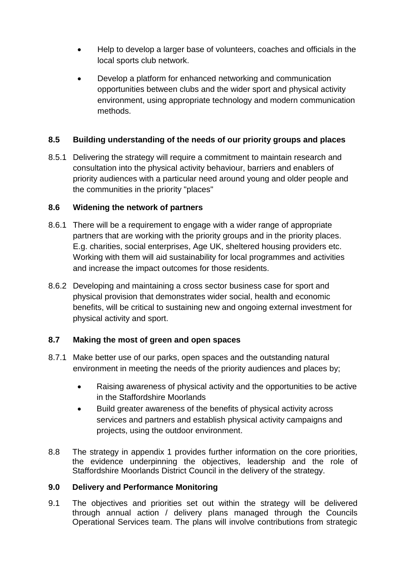- Help to develop a larger base of volunteers, coaches and officials in the local sports club network.
- Develop a platform for enhanced networking and communication opportunities between clubs and the wider sport and physical activity environment, using appropriate technology and modern communication methods.

## **8.5 Building understanding of the needs of our priority groups and places**

8.5.1 Delivering the strategy will require a commitment to maintain research and consultation into the physical activity behaviour, barriers and enablers of priority audiences with a particular need around young and older people and the communities in the priority "places"

### **8.6 Widening the network of partners**

- 8.6.1 There will be a requirement to engage with a wider range of appropriate partners that are working with the priority groups and in the priority places. E.g. charities, social enterprises, Age UK, sheltered housing providers etc. Working with them will aid sustainability for local programmes and activities and increase the impact outcomes for those residents.
- 8.6.2 Developing and maintaining a cross sector business case for sport and physical provision that demonstrates wider social, health and economic benefits, will be critical to sustaining new and ongoing external investment for physical activity and sport.

## **8.7 Making the most of green and open spaces**

- 8.7.1 Make better use of our parks, open spaces and the outstanding natural environment in meeting the needs of the priority audiences and places by;
	- Raising awareness of physical activity and the opportunities to be active in the Staffordshire Moorlands
	- Build greater awareness of the benefits of physical activity across services and partners and establish physical activity campaigns and projects, using the outdoor environment.
- 8.8 The strategy in appendix 1 provides further information on the core priorities, the evidence underpinning the objectives, leadership and the role of Staffordshire Moorlands District Council in the delivery of the strategy.

## **9.0 Delivery and Performance Monitoring**

9.1 The objectives and priorities set out within the strategy will be delivered through annual action / delivery plans managed through the Councils Operational Services team. The plans will involve contributions from strategic